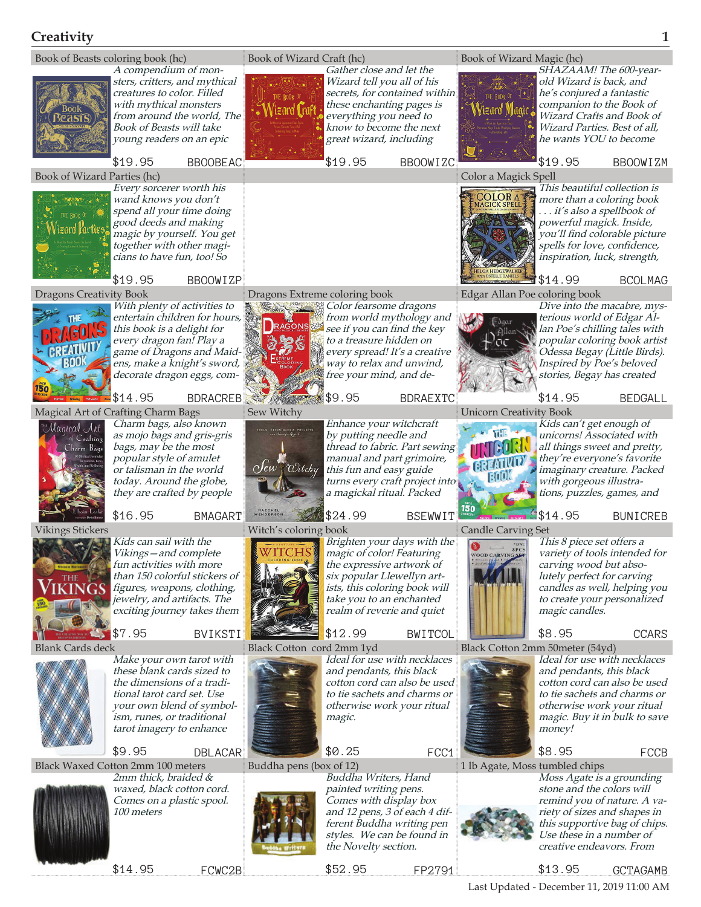## **Creativity 1**



Last Updated - December 11, 2019 11:00 AM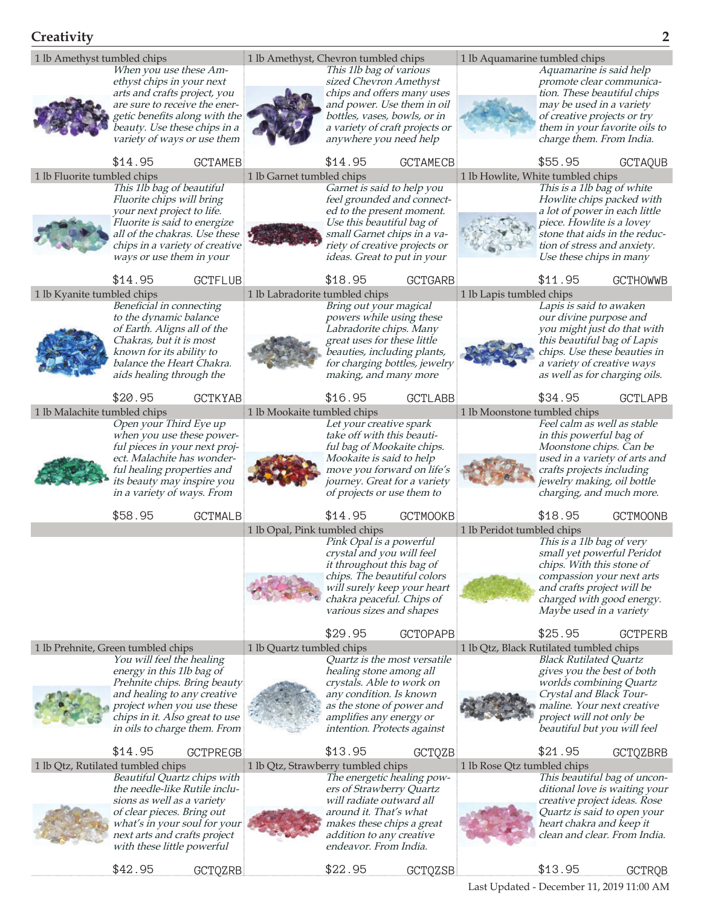

\$22.95 GCTQZSB

\$42.95 GCTQZRB

\$13.95 GCTRQB

Last Updated - December 11, 2019 11:00 AM